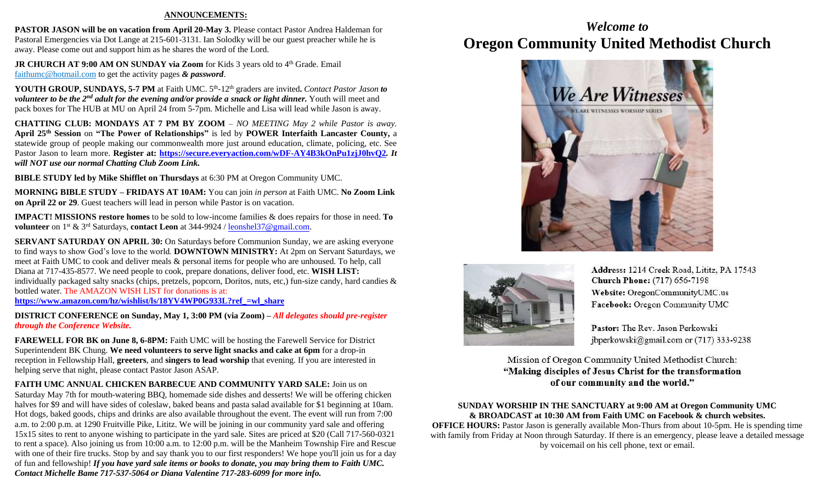#### **ANNOUNCEMENTS:**

**PASTOR JASON will be on vacation from April 20-May 3. Please contact Pastor Andrea Haldeman for** Pastoral Emergencies via Dot Lange at 215-601-3131. Ian Solodky will be our guest preacher while he is away. Please come out and support him as he shares the word of the Lord.

**JR CHURCH AT 9:00 AM ON SUNDAY via Zoom** for Kids 3 years old to 4<sup>th</sup> Grade. Email [faithumc@hotmail.com](about:blank) to get the activity pages *& password*.

YOUTH GROUP, SUNDAYS, 5-7 PM at Faith UMC. 5<sup>th</sup>-12<sup>th</sup> graders are invited. Contact Pastor Jason to *volunteer to be the 2<sup>nd</sup> adult for the evening and/or provide a snack or light dinner. Youth will meet and* pack boxes for The HUB at MU on April 24 from 5-7pm. Michelle and Lisa will lead while Jason is away.

**CHATTING CLUB: MONDAYS AT 7 PM BY ZOOM** – *NO MEETING May 2 while Pastor is away.* **April 25th Session** on **"The Power of Relationships"** is led by **POWER Interfaith Lancaster County,** a statewide group of people making our commonwealth more just around education, climate, policing, etc. See Pastor Jason to learn more. **Register at:<https://secure.everyaction.com/wDF-AY4B3kOnPu1zjJ0hvQ2>***. It will NOT use our normal Chatting Club Zoom Link.*

**BIBLE STUDY led by Mike Shifflet on Thursdays** at 6:30 PM at Oregon Community UMC.

**MORNING BIBLE STUDY – FRIDAYS AT 10AM:** You can join *in person* at Faith UMC. **No Zoom Link on April 22 or 29**. Guest teachers will lead in person while Pastor is on vacation.

**IMPACT! MISSIONS restore homes** to be sold to low-income families & does repairs for those in need. **To volunteer** on 1st & 3rd Saturdays, **contact Leon** at 344-9924 / [leonshel37@gmail.com.](about:blank)

**SERVANT SATURDAY ON APRIL 30:** On Saturdays before Communion Sunday, we are asking everyone to find ways to show God's love to the world. **DOWNTOWN MINISTRY:** At 2pm on Servant Saturdays, we meet at Faith UMC to cook and deliver meals & personal items for people who are unhoused. To help, call Diana at 717-435-8577. We need people to cook, prepare donations, deliver food, etc. **WISH LIST:**  individually packaged salty snacks (chips, pretzels, popcorn, Doritos, nuts, etc,) fun-size candy, hard candies & bottled water. The AMAZON WISH LIST for donations is at: **[https://www.amazon.com/hz/wishlist/ls/18YV4WP0G933L?ref\\_=wl\\_share](https://www.amazon.com/hz/wishlist/ls/18YV4WP0G933L?ref_=wl_share)**

**DISTRICT CONFERENCE on Sunday, May 1, 3:00 PM (via Zoom) –** *All delegates should pre-register through the Conference Website.*

**FAREWELL FOR BK on June 8, 6-8PM:** Faith UMC will be hosting the Farewell Service for District Superintendent BK Chung. **We need volunteers to serve light snacks and cake at 6pm** for a drop-in reception in Fellowship Hall, **greeters**, and **singers to lead worship** that evening. If you are interested in helping serve that night, please contact Pastor Jason ASAP.

**FAITH UMC ANNUAL CHICKEN BARBECUE AND COMMUNITY YARD SALE:** Join us on Saturday May 7th for mouth-watering BBQ, homemade side dishes and desserts! We will be offering chicken halves for \$9 and will have sides of coleslaw, baked beans and pasta salad available for \$1 beginning at 10am. Hot dogs, baked goods, chips and drinks are also available throughout the event. The event will run from 7:00 a.m. to 2:00 p.m. at 1290 Fruitville Pike, Lititz. We will be joining in our community yard sale and offering 15x15 sites to rent to anyone wishing to participate in the yard sale. Sites are priced at \$20 (Call 717-560-0321 to rent a space). Also joining us from 10:00 a.m. to 12:00 p.m. will be the Manheim Township Fire and Rescue with one of their fire trucks. Stop by and say thank you to our first responders! We hope you'll join us for a day of fun and fellowship! *If you have yard sale items or books to donate, you may bring them to Faith UMC. Contact Michelle Bame 717-537-5064 or Diana Valentine 717-283-6099 for more info.*

# *Welcome to* **Oregon Community United Methodist Church**





Address: 1214 Creek Road, Lititz, PA 17543 **Church Phone:** (717) 656-7198 Website: OregonCommunityUMC.us Facebook: Oregon Community UMC

Pastor: The Rev. Jason Perkowski jbperkowski@gmail.com or (717) 333-9238

Mission of Oregon Community United Methodist Church: "Making disciples of Jesus Christ for the transformation of our community and the world."

## **SUNDAY WORSHIP IN THE SANCTUARY at 9:00 AM at Oregon Community UMC & BROADCAST at 10:30 AM from Faith UMC on Facebook & church websites.**

**OFFICE HOURS:** Pastor Jason is generally available Mon-Thurs from about 10-5pm. He is spending time with family from Friday at Noon through Saturday. If there is an emergency, please leave a detailed message by voicemail on his cell phone, text or email.